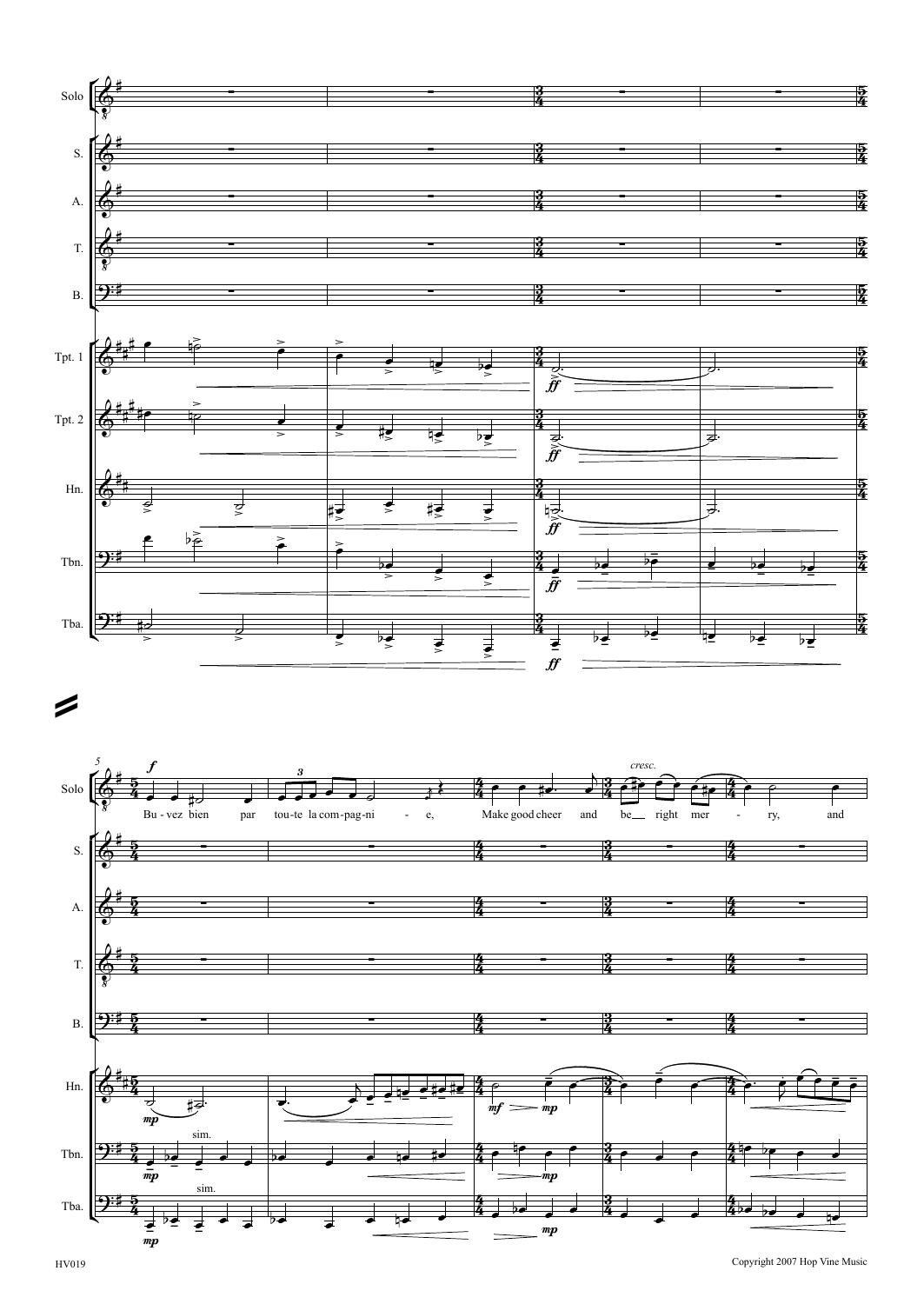



Copyright <sup>2007</sup> Hop Vine Music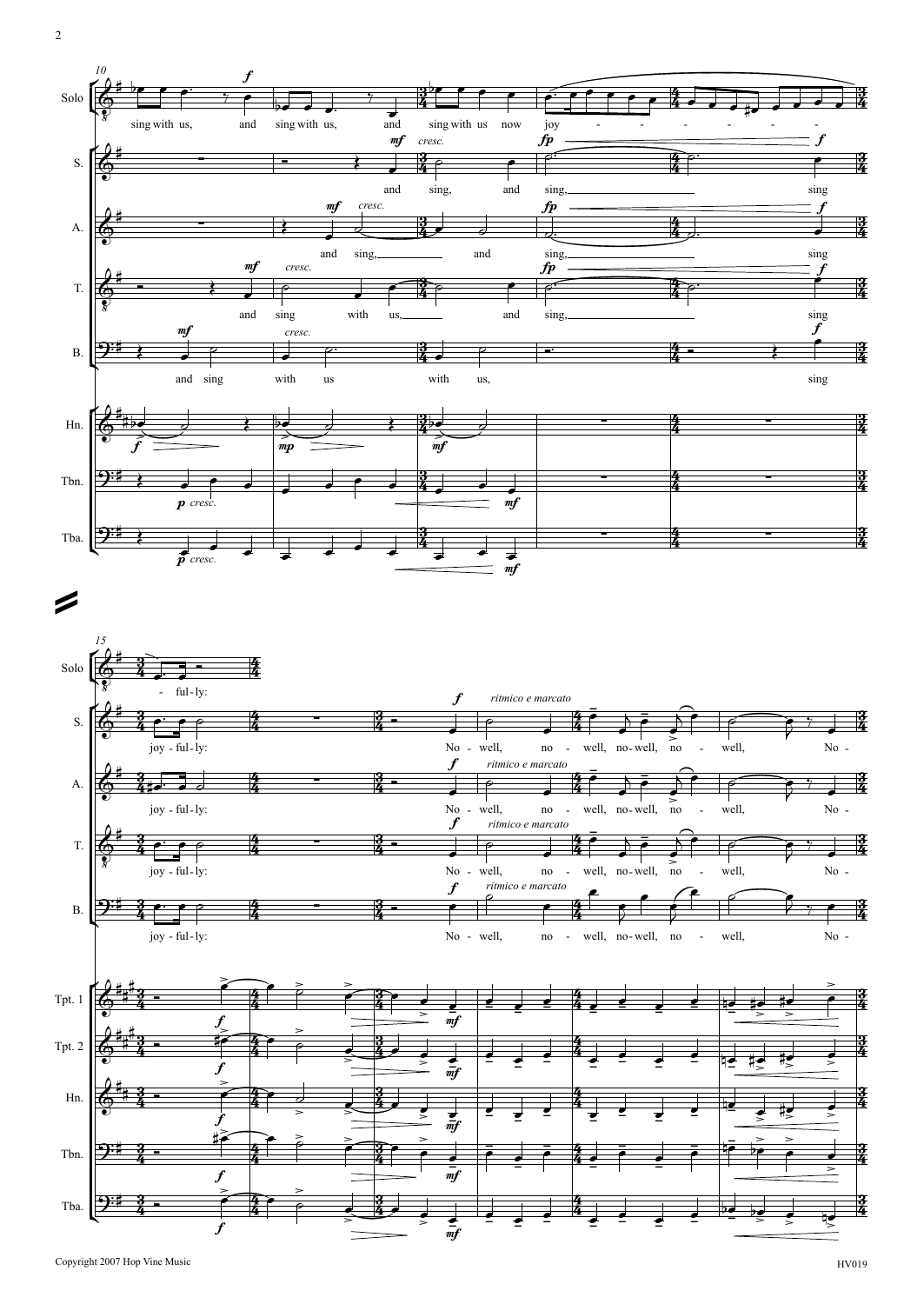

2